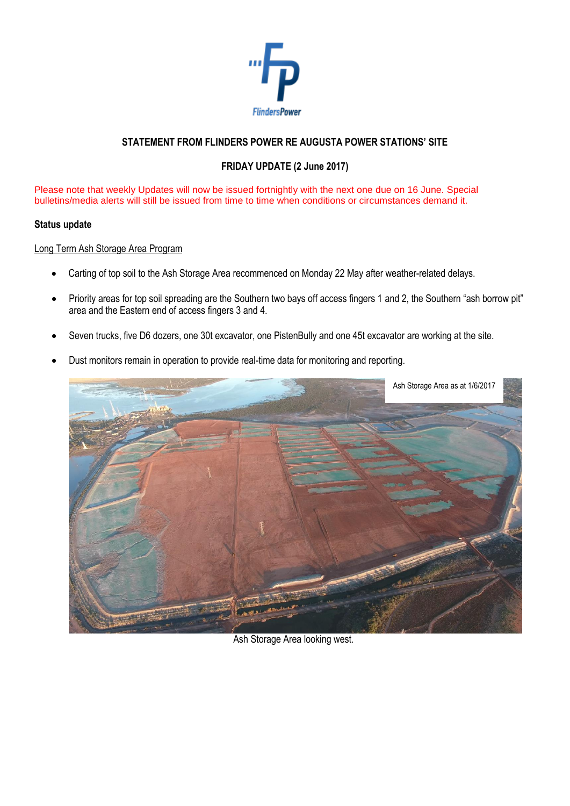

# **STATEMENT FROM FLINDERS POWER RE AUGUSTA POWER STATIONS' SITE**

# **FRIDAY UPDATE (2 June 2017)**

Please note that weekly Updates will now be issued fortnightly with the next one due on 16 June. Special bulletins/media alerts will still be issued from time to time when conditions or circumstances demand it.

### **Status update**

### Long Term Ash Storage Area Program

- Carting of top soil to the Ash Storage Area recommenced on Monday 22 May after weather-related delays.
- Priority areas for top soil spreading are the Southern two bays off access fingers 1 and 2, the Southern "ash borrow pit" area and the Eastern end of access fingers 3 and 4.
- Seven trucks, five D6 dozers, one 30t excavator, one PistenBully and one 45t excavator are working at the site.
- Dust monitors remain in operation to provide real-time data for monitoring and reporting.



Ash Storage Area looking west.